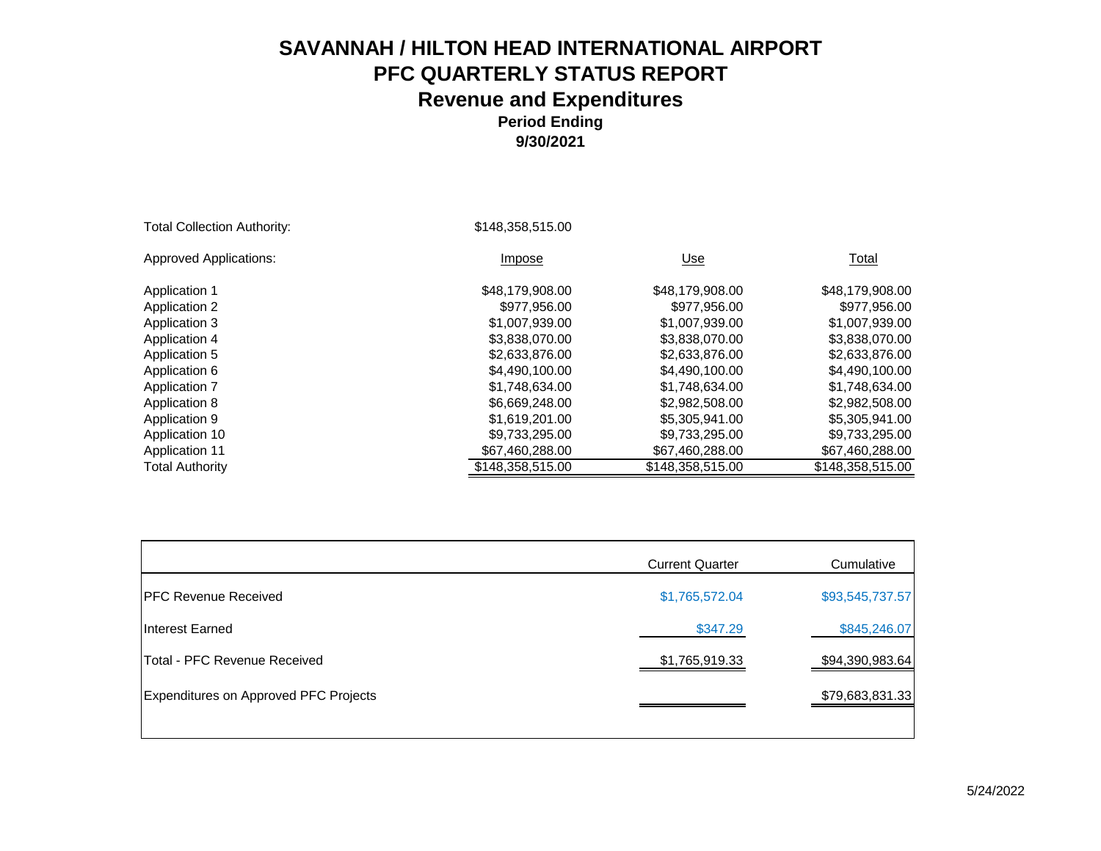| <b>Total Collection Authority:</b> | \$148,358,515.00 |                  |                  |
|------------------------------------|------------------|------------------|------------------|
| <b>Approved Applications:</b>      | Impose           | Use              | Total            |
| Application 1                      | \$48,179,908.00  | \$48,179,908.00  | \$48,179,908.00  |
| <b>Application 2</b>               | \$977,956,00     | \$977.956.00     | \$977,956.00     |
| <b>Application 3</b>               | \$1,007,939.00   | \$1,007,939.00   | \$1,007,939.00   |
| Application 4                      | \$3,838,070.00   | \$3,838,070.00   | \$3,838,070.00   |
| Application 5                      | \$2,633,876.00   | \$2,633,876.00   | \$2,633,876.00   |
| Application 6                      | \$4,490,100.00   | \$4,490,100.00   | \$4,490,100.00   |
| <b>Application 7</b>               | \$1.748.634.00   | \$1.748.634.00   | \$1.748.634.00   |
| Application 8                      | \$6,669,248.00   | \$2,982,508.00   | \$2,982,508.00   |
| Application 9                      | \$1.619.201.00   | \$5,305,941.00   | \$5,305,941,00   |
| Application 10                     | \$9,733,295.00   | \$9,733,295.00   | \$9,733,295.00   |
| <b>Application 11</b>              | \$67,460,288.00  | \$67,460,288.00  | \$67,460,288.00  |
| <b>Total Authority</b>             | \$148,358,515.00 | \$148,358,515.00 | \$148,358,515.00 |

|                                       | <b>Current Quarter</b> | Cumulative      |
|---------------------------------------|------------------------|-----------------|
| <b>IPFC Revenue Received</b>          | \$1,765,572.04         | \$93,545,737.57 |
| Interest Earned                       | \$347.29               | \$845,246.07    |
| Total - PFC Revenue Received          | \$1,765,919.33         | \$94,390,983.64 |
| Expenditures on Approved PFC Projects |                        | \$79,683,831.33 |
|                                       |                        |                 |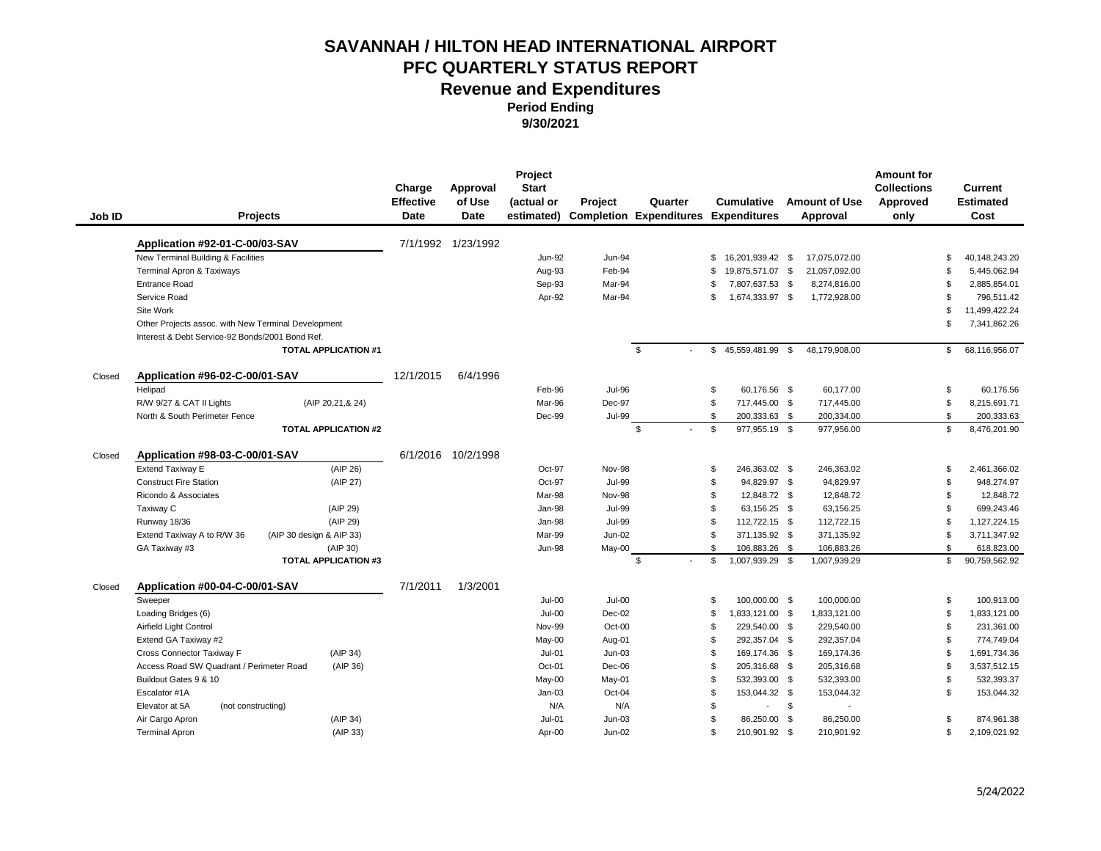**Period Ending** 

**9/30/2021**

|        |                                                     |                             | Charge<br><b>Effective</b> | Approval<br>of Use | Project<br><b>Start</b><br>(actual or | Project       | Quarter                                     | <b>Cumulative</b>       | <b>Amount of Use</b> | <b>Amount for</b><br><b>Collections</b><br>Approved | Current<br><b>Estimated</b>    |
|--------|-----------------------------------------------------|-----------------------------|----------------------------|--------------------|---------------------------------------|---------------|---------------------------------------------|-------------------------|----------------------|-----------------------------------------------------|--------------------------------|
| Job ID | <b>Projects</b>                                     |                             | Date                       | <b>Date</b>        | estimated)                            |               | <b>Completion Expenditures Expenditures</b> |                         | Approval             | only                                                | Cost                           |
|        | Application #92-01-C-00/03-SAV                      |                             |                            | 7/1/1992 1/23/1992 |                                       |               |                                             |                         |                      |                                                     |                                |
|        | New Terminal Building & Facilities                  |                             |                            |                    | <b>Jun-92</b>                         | Jun-94        |                                             | \$<br>16.201.939.42 \$  | 17.075.072.00        |                                                     | 40.148.243.20<br>\$            |
|        | Terminal Apron & Taxiways                           |                             |                            |                    | Aug-93                                | Feb-94        |                                             | 19,875,571.07 \$<br>\$. | 21,057,092.00        |                                                     | $\mathfrak{S}$<br>5,445,062.94 |
|        | <b>Entrance Road</b>                                |                             |                            |                    | Sep-93                                | Mar-94        |                                             | 7,807,637.53 \$<br>S    | 8,274,816.00         |                                                     | 2,885,854.01<br>\$             |
|        | Service Road                                        |                             |                            |                    | Apr-92                                | Mar-94        |                                             | 1,674,333.97 \$<br>\$   | 1,772,928.00         |                                                     | 796.511.42<br>\$               |
|        | Site Work                                           |                             |                            |                    |                                       |               |                                             |                         |                      |                                                     | \$<br>11,499,422.24            |
|        | Other Projects assoc. with New Terminal Development |                             |                            |                    |                                       |               |                                             |                         |                      |                                                     | \$<br>7,341,862.26             |
|        | Interest & Debt Service-92 Bonds/2001 Bond Ref.     |                             |                            |                    |                                       |               |                                             |                         |                      |                                                     |                                |
|        |                                                     | <b>TOTAL APPLICATION #1</b> |                            |                    |                                       |               | \$                                          | 45,559,481.99 \$<br>\$  | 48,179,908.00        |                                                     | \$<br>68,116,956.07            |
| Closed | Application #96-02-C-00/01-SAV                      |                             | 12/1/2015                  | 6/4/1996           |                                       |               |                                             |                         |                      |                                                     |                                |
|        | Helipad                                             |                             |                            |                    | Feb-96                                | <b>Jul-96</b> |                                             | \$<br>60,176.56 \$      | 60,177.00            |                                                     | \$<br>60,176.56                |
|        | R/W 9/27 & CAT II Lights                            | (AIP 20,21,& 24)            |                            |                    | Mar-96                                | Dec-97        |                                             | \$<br>717,445.00 \$     | 717,445.00           |                                                     | \$<br>8,215,691.71             |
|        | North & South Perimeter Fence                       |                             |                            |                    | Dec-99                                | <b>Jul-99</b> |                                             | \$<br>200,333.63 \$     | 200,334.00           |                                                     | \$<br>200,333.63               |
|        |                                                     | <b>TOTAL APPLICATION #2</b> |                            |                    |                                       |               | \$                                          | \$<br>977,955.19 \$     | 977,956.00           |                                                     | \$<br>8,476,201.90             |
| Closed | Application #98-03-C-00/01-SAV                      |                             |                            | 6/1/2016 10/2/1998 |                                       |               |                                             |                         |                      |                                                     |                                |
|        | <b>Extend Taxiway E</b>                             | (AIP 26)                    |                            |                    | Oct-97                                | <b>Nov-98</b> |                                             | 246,363.02 \$<br>\$     | 246,363.02           |                                                     | \$<br>2,461,366.02             |
|        | <b>Construct Fire Station</b>                       | (AIP 27)                    |                            |                    | Oct-97                                | <b>Jul-99</b> |                                             | \$<br>94,829.97 \$      | 94,829.97            |                                                     | \$<br>948,274.97               |
|        | Ricondo & Associates                                |                             |                            |                    | Mar-98                                | <b>Nov-98</b> |                                             | 12,848.72 \$<br>\$      | 12,848.72            |                                                     | \$<br>12,848.72                |
|        | Taxiway C                                           | (AIP 29)                    |                            |                    | Jan-98                                | <b>Jul-99</b> |                                             | 63.156.25 \$<br>\$.     | 63.156.25            |                                                     | \$<br>699.243.46               |
|        | Runway 18/36                                        | (AIP 29)                    |                            |                    | Jan-98                                | <b>Jul-99</b> |                                             | \$<br>112,722.15 \$     | 112,722.15           |                                                     | \$<br>1,127,224.15             |
|        | Extend Taxiway A to R/W 36                          | (AIP 30 design & AIP 33)    |                            |                    | Mar-99                                | $Jun-02$      |                                             | \$<br>371,135.92 \$     | 371,135.92           |                                                     | \$<br>3,711,347.92             |
|        | GA Taxiway #3                                       | (AIP 30)                    |                            |                    | <b>Jun-98</b>                         | May-00        |                                             | \$<br>106,883.26 \$     | 106,883.26           |                                                     | \$<br>618,823.00               |
|        |                                                     | <b>TOTAL APPLICATION #3</b> |                            |                    |                                       |               | \$                                          | \$<br>1,007,939.29 \$   | 1,007,939.29         |                                                     | \$<br>90,759,562.92            |
| Closed | Application #00-04-C-00/01-SAV                      |                             | 7/1/2011                   | 1/3/2001           |                                       |               |                                             |                         |                      |                                                     |                                |
|        | Sweeper                                             |                             |                            |                    | $Jul-00$                              | $Jul-00$      |                                             | 100.000.00 \$<br>\$     | 100,000.00           |                                                     | \$<br>100.913.00               |
|        | Loading Bridges (6)                                 |                             |                            |                    | $Jul-00$                              | Dec-02        |                                             | 1,833,121.00 \$<br>\$   | 1,833,121.00         |                                                     | \$<br>1,833,121.00             |
|        | Airfield Light Control                              |                             |                            |                    | Nov-99                                | Oct-00        |                                             | 229,540.00 \$<br>\$     | 229,540.00           |                                                     | \$<br>231,361.00               |
|        | Extend GA Taxiway #2                                |                             |                            |                    | May-00                                | Aug-01        |                                             | \$<br>292,357.04 \$     | 292,357.04           |                                                     | \$<br>774,749.04               |
|        | Cross Connector Taxiway F                           | (AIP 34)                    |                            |                    | $Jul-01$                              | $Jun-03$      |                                             | \$<br>169,174.36 \$     | 169,174.36           |                                                     | \$<br>1,691,734.36             |
|        | Access Road SW Quadrant / Perimeter Road            | (AIP 36)                    |                            |                    | Oct-01                                | Dec-06        |                                             | \$<br>205,316.68 \$     | 205,316.68           |                                                     | $\mathfrak{L}$<br>3,537,512.15 |
|        | Buildout Gates 9 & 10                               |                             |                            |                    | May-00                                | May-01        |                                             | \$<br>532,393.00 \$     | 532,393.00           |                                                     | \$<br>532,393.37               |
|        | Escalator #1A                                       |                             |                            |                    | $Jan-03$                              | Oct-04        |                                             | \$<br>153,044.32 \$     | 153.044.32           |                                                     | 153,044.32<br>\$               |
|        | Elevator at 5A<br>(not constructing)                |                             |                            |                    | N/A                                   | N/A           |                                             | \$                      | \$<br>$\overline{a}$ |                                                     |                                |
|        | Air Cargo Apron                                     | (AIP 34)                    |                            |                    | <b>Jul-01</b>                         | $Jun-03$      |                                             | \$<br>86,250.00 \$      | 86,250.00            |                                                     | 874,961.38<br>S                |
|        | <b>Terminal Apron</b>                               | (AIP 33)                    |                            |                    | Apr-00                                | $Jun-02$      |                                             | \$<br>210,901.92 \$     | 210,901.92           |                                                     | \$<br>2,109,021.92             |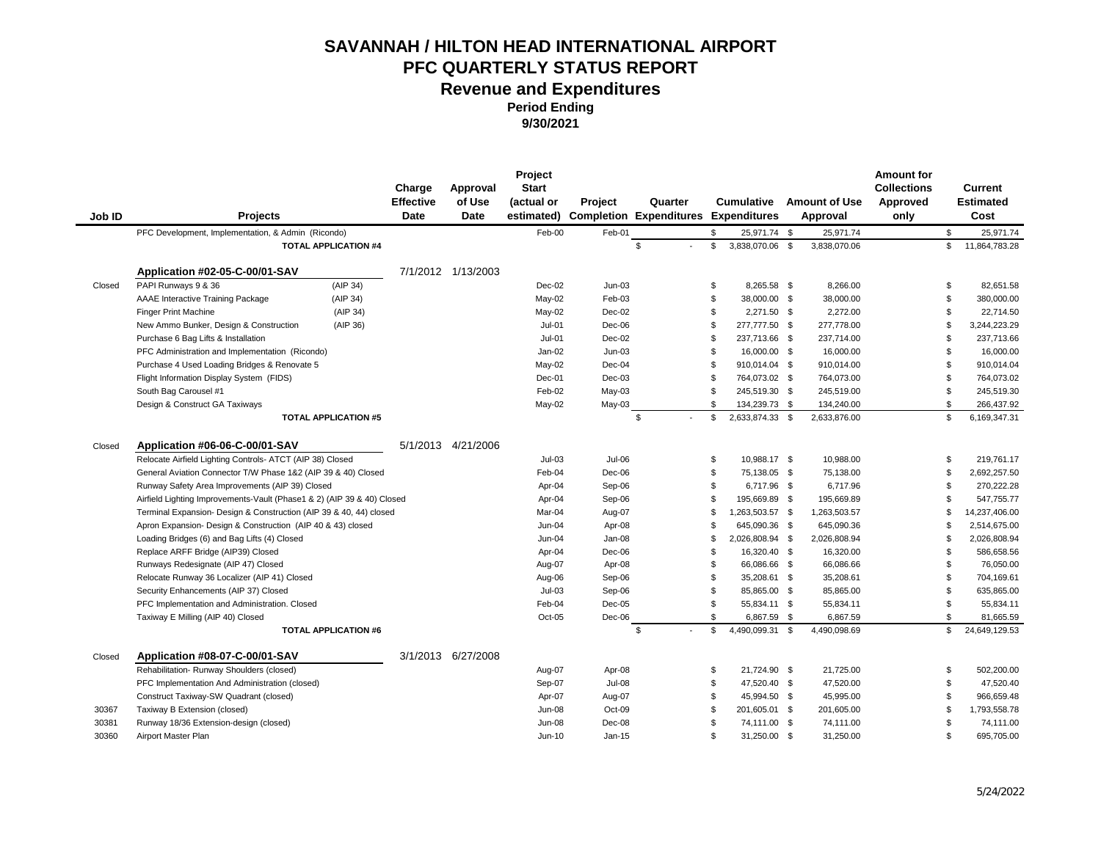**Period Ending** 

**9/30/2021**

| Job ID | Projects                                                               |                             | Charge<br><b>Effective</b><br>Date | Approval<br>of Use<br><b>Date</b> | Project<br><b>Start</b><br>(actual or<br>estimated) | <b>Project</b>   | Quarter<br><b>Completion Expenditures</b> |                    | <b>Cumulative</b><br><b>Expenditures</b> | <b>Amount of Use</b><br>Approval | <b>Amount for</b><br><b>Collections</b><br>Approved<br>only |                | Current<br><b>Estimated</b><br>Cost |
|--------|------------------------------------------------------------------------|-----------------------------|------------------------------------|-----------------------------------|-----------------------------------------------------|------------------|-------------------------------------------|--------------------|------------------------------------------|----------------------------------|-------------------------------------------------------------|----------------|-------------------------------------|
|        | PFC Development, Implementation, & Admin (Ricondo)                     |                             |                                    |                                   | Feb-00                                              | Feb-01           |                                           | \$                 | 25,971.74 \$                             | 25,971.74                        |                                                             | \$             | 25,971.74                           |
|        |                                                                        | <b>TOTAL APPLICATION #4</b> |                                    |                                   |                                                     |                  | \$                                        | \$                 | 3,838,070.06 \$                          | 3,838,070.06                     |                                                             | \$             | 11,864,783.28                       |
|        |                                                                        |                             |                                    |                                   |                                                     |                  |                                           |                    |                                          |                                  |                                                             |                |                                     |
|        | Application #02-05-C-00/01-SAV                                         |                             |                                    | 7/1/2012 1/13/2003                |                                                     |                  |                                           |                    |                                          |                                  |                                                             |                |                                     |
| Closed | PAPI Runways 9 & 36                                                    | (AIP 34)                    |                                    |                                   | Dec-02                                              | $Jun-03$         |                                           | \$<br>\$           | 8,265.58 \$                              | 8,266.00                         |                                                             | \$             | 82,651.58                           |
|        | AAAE Interactive Training Package                                      | (AIP 34)                    |                                    |                                   | May-02                                              | Feb-03<br>Dec-02 |                                           | \$.                | 38,000.00 \$<br>2.271.50 \$              | 38,000.00<br>2.272.00            |                                                             | \$<br>\$       | 380,000.00<br>22.714.50             |
|        | <b>Finger Print Machine</b>                                            | (AIP 34)<br>(AIP 36)        |                                    |                                   | May-02<br>$Jul-01$                                  | Dec-06           |                                           | \$                 |                                          | 277,778.00                       |                                                             | \$.            | 3,244,223.29                        |
|        | New Ammo Bunker, Design & Construction                                 |                             |                                    |                                   |                                                     |                  |                                           | \$                 | 277,777.50 \$                            |                                  |                                                             | \$             |                                     |
|        | Purchase 6 Bag Lifts & Installation                                    |                             |                                    |                                   | $Jul-01$                                            | $Dec-02$         |                                           | \$                 | 237,713.66 \$                            | 237,714.00                       |                                                             | \$             | 237,713.66                          |
|        | PFC Administration and Implementation (Ricondo)                        |                             |                                    |                                   | Jan-02                                              | $Jun-03$         |                                           | \$.                | 16,000.00 \$                             | 16,000.00<br>910,014.00          |                                                             | \$.            | 16,000.00<br>910,014.04             |
|        | Purchase 4 Used Loading Bridges & Renovate 5                           |                             |                                    |                                   | May-02                                              | Dec-04           |                                           | \$                 | 910,014.04 \$                            |                                  |                                                             |                |                                     |
|        | Flight Information Display System (FIDS)                               |                             |                                    |                                   | Dec-01                                              | Dec-03           |                                           |                    | 764,073.02 \$                            | 764,073.00                       |                                                             | \$             | 764,073.02                          |
|        | South Bag Carousel #1                                                  |                             |                                    |                                   | Feb-02                                              | $May-03$         |                                           | \$<br>$\mathbb{S}$ | 245,519.30 \$                            | 245,519.00<br>134,240.00         |                                                             | \$<br>\$       | 245,519.30<br>266,437.92            |
|        | Design & Construct GA Taxiways                                         | <b>TOTAL APPLICATION #5</b> |                                    |                                   | May-02                                              | May-03           | $\mathbb{S}$                              | $\mathfrak{s}$     | 134,239.73 \$<br>2,633,874.33 \$         | 2,633,876.00                     |                                                             | \$             | 6,169,347.31                        |
|        |                                                                        |                             |                                    |                                   |                                                     |                  |                                           |                    |                                          |                                  |                                                             |                |                                     |
| Closed | Application #06-06-C-00/01-SAV                                         |                             |                                    | 5/1/2013 4/21/2006                |                                                     |                  |                                           |                    |                                          |                                  |                                                             |                |                                     |
|        | Relocate Airfield Lighting Controls- ATCT (AIP 38) Closed              |                             |                                    |                                   | $Jul-03$                                            | Jul-06           |                                           | \$                 | 10,988.17 \$                             | 10,988.00                        |                                                             | \$             | 219,761.17                          |
|        | General Aviation Connector T/W Phase 1&2 (AIP 39 & 40) Closed          |                             |                                    |                                   | Feb-04                                              | $Dec-06$         |                                           | $\mathfrak{s}$     | 75,138.05 \$                             | 75,138.00                        |                                                             | $\mathfrak{s}$ | 2,692,257.50                        |
|        | Runway Safety Area Improvements (AIP 39) Closed                        |                             |                                    |                                   | Apr-04                                              | Sep-06           |                                           | \$                 | 6,717.96 \$                              | 6,717.96                         |                                                             | \$             | 270,222.28                          |
|        | Airfield Lighting Improvements-Vault (Phase1 & 2) (AIP 39 & 40) Closed |                             |                                    |                                   | Apr-04                                              | Sep-06           |                                           | \$                 | 195,669.89 \$                            | 195,669.89                       |                                                             | \$.            | 547,755.77                          |
|        | Terminal Expansion- Design & Construction (AIP 39 & 40, 44) closed     |                             |                                    |                                   | Mar-04                                              | Aug-07           |                                           | \$.                | 1,263,503.57 \$                          | 1,263,503.57                     |                                                             | \$.            | 14,237,406.00                       |
|        | Apron Expansion- Design & Construction (AIP 40 & 43) closed            |                             |                                    |                                   | $Jun-04$                                            | Apr-08           |                                           | \$.                | 645,090.36 \$                            | 645,090.36                       |                                                             | \$.            | 2,514,675.00                        |
|        | Loading Bridges (6) and Bag Lifts (4) Closed                           |                             |                                    |                                   | $Jun-04$                                            | Jan-08           |                                           |                    | 2,026,808.94 \$                          | 2,026,808.94                     |                                                             | \$.            | 2,026,808.94                        |
|        | Replace ARFF Bridge (AIP39) Closed                                     |                             |                                    |                                   | Apr-04                                              | Dec-06           |                                           | \$                 | 16,320.40 \$                             | 16,320.00                        |                                                             | \$             | 586,658.56                          |
|        | Runways Redesignate (AIP 47) Closed                                    |                             |                                    |                                   | Aug-07                                              | Apr-08           |                                           | \$.                | 66,086.66 \$                             | 66,086.66                        |                                                             | \$             | 76,050.00                           |
|        | Relocate Runway 36 Localizer (AIP 41) Closed                           |                             |                                    |                                   | Aug-06                                              | Sep-06           |                                           | \$                 | 35,208.61 \$                             | 35,208.61                        |                                                             | \$             | 704,169.61                          |
|        | Security Enhancements (AIP 37) Closed                                  |                             |                                    |                                   | $Jul-03$                                            | Sep-06           |                                           | \$                 | 85,865.00 \$                             | 85,865.00                        |                                                             | \$             | 635,865.00                          |
|        | PFC Implementation and Administration. Closed                          |                             |                                    |                                   | Feb-04                                              | $Dec-05$         |                                           | \$                 | 55,834.11 \$                             | 55,834.11                        |                                                             | \$             | 55,834.11                           |
|        | Taxiway E Milling (AIP 40) Closed                                      |                             |                                    |                                   | Oct-05                                              | Dec-06           |                                           | $\mathbf{s}$       | 6,867.59 \$                              | 6,867.59                         |                                                             | \$             | 81,665.59                           |
|        |                                                                        | <b>TOTAL APPLICATION #6</b> |                                    |                                   |                                                     |                  | \$                                        | $\mathfrak{s}$     | 4,490,099.31 \$                          | 4,490,098.69                     |                                                             | \$             | 24,649,129.53                       |
| Closed | Application #08-07-C-00/01-SAV                                         |                             |                                    | 3/1/2013 6/27/2008                |                                                     |                  |                                           |                    |                                          |                                  |                                                             |                |                                     |
|        | Rehabilitation-Runway Shoulders (closed)                               |                             |                                    |                                   | Aug-07                                              | Apr-08           |                                           | \$                 | 21,724.90 \$                             | 21,725.00                        |                                                             | \$             | 502,200.00                          |
|        | PFC Implementation And Administration (closed)                         |                             |                                    |                                   | Sep-07                                              | Jul-08           |                                           | \$                 | 47,520.40 \$                             | 47,520.00                        |                                                             | \$             | 47,520.40                           |
|        | Construct Taxiway-SW Quadrant (closed)                                 |                             |                                    |                                   | Apr-07                                              | Aug-07           |                                           | \$                 | 45,994.50 \$                             | 45,995.00                        |                                                             | \$             | 966,659.48                          |
| 30367  | Taxiway B Extension (closed)                                           |                             |                                    |                                   | <b>Jun-08</b>                                       | Oct-09           |                                           | \$.                | 201,605.01 \$                            | 201,605.00                       |                                                             | \$.            | 1,793,558.78                        |
| 30381  | Runway 18/36 Extension-design (closed)                                 |                             |                                    |                                   | Jun-08                                              | Dec-08           |                                           | \$.                | 74,111.00 \$                             | 74,111.00                        |                                                             | \$.            | 74,111.00                           |
| 30360  | Airport Master Plan                                                    |                             |                                    |                                   | $Jun-10$                                            | Jan-15           |                                           | \$.                | 31,250.00 \$                             | 31,250.00                        |                                                             | \$             | 695,705.00                          |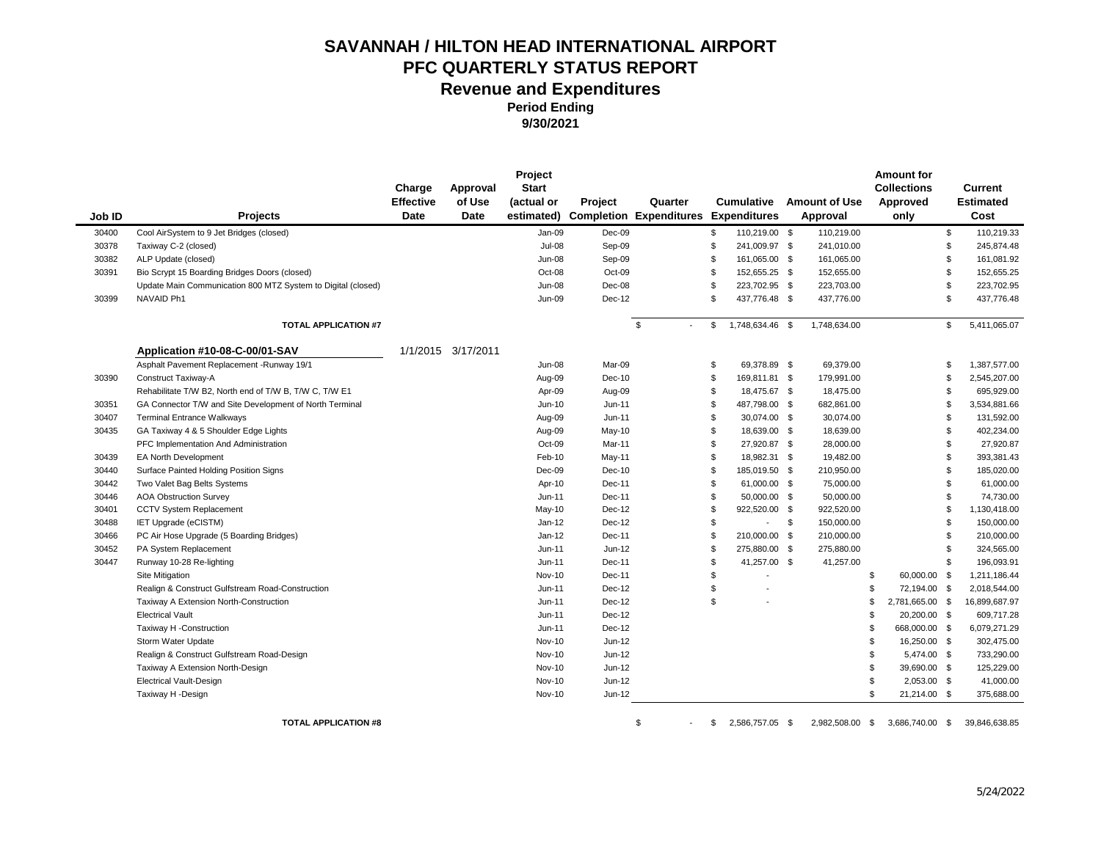**Period Ending** 

**9/30/2021**

|        |                                                              | Charge                   | Approval              | Project<br><b>Start</b> |          |                                               |                |                                          |                                  | <b>Amount for</b><br><b>Collections</b> |     | Current                  |
|--------|--------------------------------------------------------------|--------------------------|-----------------------|-------------------------|----------|-----------------------------------------------|----------------|------------------------------------------|----------------------------------|-----------------------------------------|-----|--------------------------|
| Job ID | Projects                                                     | <b>Effective</b><br>Date | of Use<br><b>Date</b> | (actual or              | Project  | Quarter<br>estimated) Completion Expenditures |                | <b>Cumulative</b><br><b>Expenditures</b> | <b>Amount of Use</b><br>Approval | Approved<br>only                        |     | <b>Estimated</b><br>Cost |
| 30400  | Cool AirSystem to 9 Jet Bridges (closed)                     |                          |                       | Jan-09                  | Dec-09   |                                               | \$             | 110,219.00 \$                            | 110,219.00                       |                                         | \$  | 110,219.33               |
| 30378  | Taxiway C-2 (closed)                                         |                          |                       | <b>Jul-08</b>           | Sep-09   |                                               | \$             | 241,009.97 \$                            | 241,010.00                       |                                         | \$  | 245,874.48               |
| 30382  | ALP Update (closed)                                          |                          |                       | <b>Jun-08</b>           | Sep-09   |                                               | \$             | 161,065.00 \$                            | 161,065.00                       |                                         | \$  | 161,081.92               |
| 30391  | Bio Scrypt 15 Boarding Bridges Doors (closed)                |                          |                       | Oct-08                  | Oct-09   |                                               | \$.            | 152,655.25 \$                            | 152,655.00                       |                                         | \$. | 152,655.25               |
|        | Update Main Communication 800 MTZ System to Digital (closed) |                          |                       | <b>Jun-08</b>           | Dec-08   |                                               | \$.            | 223,702.95 \$                            | 223,703.00                       |                                         | \$  | 223,702.95               |
| 30399  | NAVAID Ph1                                                   |                          |                       | <b>Jun-09</b>           | Dec-12   |                                               | \$             | 437,776.48 \$                            | 437,776.00                       |                                         | \$. | 437,776.48               |
|        | <b>TOTAL APPLICATION #7</b>                                  |                          |                       |                         |          | \$                                            | \$             | 1,748,634.46 \$                          | 1,748,634.00                     |                                         | \$  | 5,411,065.07             |
|        | Application #10-08-C-00/01-SAV                               |                          | 1/1/2015 3/17/2011    |                         |          |                                               |                |                                          |                                  |                                         |     |                          |
|        | Asphalt Pavement Replacement - Runway 19/1                   |                          |                       | <b>Jun-08</b>           | Mar-09   |                                               | \$             | 69,378.89 \$                             | 69,379.00                        |                                         | \$  | 1,387,577.00             |
| 30390  | Construct Taxiway-A                                          |                          |                       | Aug-09                  | Dec-10   |                                               | \$             | 169,811.81 \$                            | 179,991.00                       |                                         | \$  | 2,545,207.00             |
|        | Rehabilitate T/W B2, North end of T/W B, T/W C, T/W E1       |                          |                       | Apr-09                  | Aug-09   |                                               | \$             | 18,475.67 \$                             | 18,475.00                        |                                         | \$  | 695,929.00               |
| 30351  | GA Connector T/W and Site Development of North Terminal      |                          |                       | Jun-10                  | $Jun-11$ |                                               | \$             | 487,798.00 \$                            | 682,861.00                       |                                         | \$. | 3,534,881.66             |
| 30407  | <b>Terminal Entrance Walkways</b>                            |                          |                       | Aug-09                  | $Jun-11$ |                                               | \$.            | 30,074.00 \$                             | 30,074.00                        |                                         | \$  | 131,592.00               |
| 30435  | GA Taxiway 4 & 5 Shoulder Edge Lights                        |                          |                       | Aug-09                  | May-10   |                                               | \$.            | 18,639.00 \$                             | 18,639.00                        |                                         | \$. | 402,234.00               |
|        | PFC Implementation And Administration                        |                          |                       | Oct-09                  | Mar-11   |                                               | \$             | 27,920.87 \$                             | 28,000.00                        |                                         | \$  | 27,920.87                |
| 30439  | <b>EA North Development</b>                                  |                          |                       | Feb-10                  | May-11   |                                               | \$             | 18,982.31 \$                             | 19,482.00                        |                                         | \$. | 393,381.43               |
| 30440  | Surface Painted Holding Position Signs                       |                          |                       | Dec-09                  | Dec-10   |                                               | \$             | 185,019.50 \$                            | 210,950.00                       |                                         | \$. | 185,020.00               |
| 30442  | Two Valet Bag Belts Systems                                  |                          |                       | Apr-10                  | Dec-11   |                                               | $\mathfrak{s}$ | 61,000.00 \$                             | 75,000.00                        |                                         | \$  | 61,000.00                |
| 30446  | <b>AOA Obstruction Survey</b>                                |                          |                       | Jun-11                  | Dec-11   |                                               | \$.            | 50,000.00 \$                             | 50,000.00                        |                                         | \$. | 74,730.00                |
| 30401  | <b>CCTV System Replacement</b>                               |                          |                       | May-10                  | Dec-12   |                                               | \$.            | 922,520.00 \$                            | 922,520.00                       |                                         | \$. | 1,130,418.00             |
| 30488  | IET Upgrade (eCISTM)                                         |                          |                       | $Jan-12$                | Dec-12   |                                               | \$             | $-5$                                     | 150,000.00                       |                                         | \$. | 150,000.00               |
| 30466  | PC Air Hose Upgrade (5 Boarding Bridges)                     |                          |                       | $Jan-12$                | Dec-11   |                                               | \$             | 210,000.00 \$                            | 210,000.00                       |                                         | \$. | 210,000.00               |
| 30452  | PA System Replacement                                        |                          |                       | Jun-11                  | Jun-12   |                                               | \$             | 275,880.00 \$                            | 275,880.00                       |                                         | \$  | 324,565.00               |
| 30447  | Runway 10-28 Re-lighting                                     |                          |                       | Jun-11                  | Dec-11   |                                               |                | 41,257.00 \$                             | 41,257.00                        |                                         | \$. | 196,093.91               |
|        | Site Mitigation                                              |                          |                       | Nov-10                  | Dec-11   |                                               | \$             |                                          |                                  | \$<br>60,000.00 \$                      |     | 1,211,186.44             |
|        | Realign & Construct Gulfstream Road-Construction             |                          |                       | Jun-11                  | Dec-12   |                                               | \$             |                                          |                                  | \$<br>72,194.00 \$                      |     | 2,018,544.00             |
|        | Taxiway A Extension North-Construction                       |                          |                       | Jun-11                  | Dec-12   |                                               | \$             |                                          |                                  | \$<br>2,781,665.00 \$                   |     | 16,899,687.97            |
|        | <b>Electrical Vault</b>                                      |                          |                       | Jun-11                  | Dec-12   |                                               |                |                                          |                                  | \$<br>20,200.00 \$                      |     | 609,717.28               |
|        | Taxiway H -Construction                                      |                          |                       | Jun-11                  | Dec-12   |                                               |                |                                          |                                  | \$<br>668,000.00 \$                     |     | 6,079,271.29             |
|        | Storm Water Update                                           |                          |                       | <b>Nov-10</b>           | Jun-12   |                                               |                |                                          |                                  | \$<br>16,250.00 \$                      |     | 302,475.00               |
|        | Realign & Construct Gulfstream Road-Design                   |                          |                       | Nov-10                  | Jun-12   |                                               |                |                                          |                                  | \$<br>5,474.00 \$                       |     | 733,290.00               |
|        | Taxiway A Extension North-Design                             |                          |                       | Nov-10                  | Jun-12   |                                               |                |                                          |                                  | \$<br>39,690.00 \$                      |     | 125,229.00               |
|        | <b>Electrical Vault-Design</b>                               |                          |                       | Nov-10                  | Jun-12   |                                               |                |                                          |                                  | \$<br>2,053.00 \$                       |     | 41,000.00                |
|        | Taxiway H -Design                                            |                          |                       | <b>Nov-10</b>           | Jun-12   |                                               |                |                                          |                                  | \$<br>21,214.00 \$                      |     | 375,688.00               |

**TOTAL APPLICATION #8 19.05 APPLICATION #8 19.05 APPLICATION #8 19.05 APPLICATION #8 19.05 APPLICATION #8 19.05 APPLICATION #8**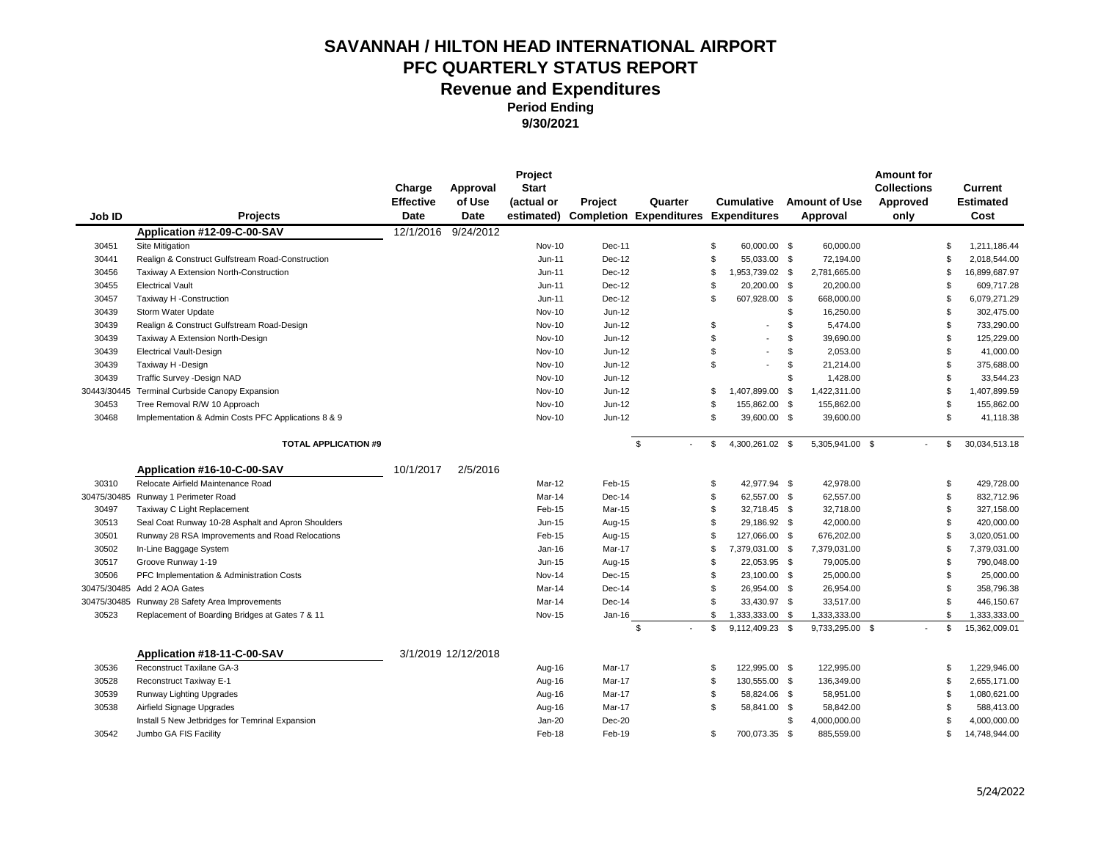| Job ID      | Projects                                            | Charge<br><b>Effective</b><br>Date | Approval<br>of Use<br><b>Date</b> | Project<br><b>Start</b><br>(actual or<br>estimated) | Project | Quarter<br><b>Completion Expenditures Expenditures</b> | <b>Cumulative</b>     | <b>Amount of Use</b><br>Approval | <b>Amount for</b><br><b>Collections</b><br>Approved<br>only |    | Current<br><b>Estimated</b><br>Cost |
|-------------|-----------------------------------------------------|------------------------------------|-----------------------------------|-----------------------------------------------------|---------|--------------------------------------------------------|-----------------------|----------------------------------|-------------------------------------------------------------|----|-------------------------------------|
|             | Application #12-09-C-00-SAV                         | 12/1/2016                          | 9/24/2012                         |                                                     |         |                                                        |                       |                                  |                                                             |    |                                     |
| 30451       | Site Mitigation                                     |                                    |                                   | <b>Nov-10</b>                                       | Dec-11  |                                                        | \$<br>60,000.00 \$    | 60,000.00                        |                                                             | \$ | 1,211,186.44                        |
| 30441       | Realign & Construct Gulfstream Road-Construction    |                                    |                                   | $Jun-11$                                            | Dec-12  |                                                        | \$<br>55,033.00 \$    | 72,194.00                        |                                                             | \$ | 2,018,544.00                        |
| 30456       | Taxiway A Extension North-Construction              |                                    |                                   | $Jun-11$                                            | Dec-12  |                                                        | \$<br>1,953,739.02 \$ | 2,781,665.00                     |                                                             | \$ | 16,899,687.97                       |
| 30455       | <b>Electrical Vault</b>                             |                                    |                                   | Jun-11                                              | Dec-12  |                                                        | \$<br>20,200.00 \$    | 20,200.00                        |                                                             | \$ | 609,717.28                          |
| 30457       | Taxiway H -Construction                             |                                    |                                   | $Jun-11$                                            | Dec-12  |                                                        | \$<br>607,928.00 \$   | 668,000.00                       |                                                             | \$ | 6,079,271.29                        |
| 30439       | Storm Water Update                                  |                                    |                                   | <b>Nov-10</b>                                       | Jun-12  |                                                        |                       | \$<br>16,250.00                  |                                                             | \$ | 302,475.00                          |
| 30439       | Realign & Construct Gulfstream Road-Design          |                                    |                                   | <b>Nov-10</b>                                       | Jun-12  |                                                        | \$                    | \$<br>5,474.00                   |                                                             | \$ | 733,290.00                          |
| 30439       | Taxiway A Extension North-Design                    |                                    |                                   | <b>Nov-10</b>                                       | Jun-12  |                                                        | \$                    | \$<br>39,690.00                  |                                                             | \$ | 125,229.00                          |
| 30439       | <b>Electrical Vault-Design</b>                      |                                    |                                   | Nov-10                                              | Jun-12  |                                                        | \$                    | \$<br>2,053.00                   |                                                             | \$ | 41,000.00                           |
| 30439       | Taxiway H -Design                                   |                                    |                                   | <b>Nov-10</b>                                       | Jun-12  |                                                        | \$                    | \$<br>21,214.00                  |                                                             | \$ | 375,688.00                          |
| 30439       | Traffic Survey - Design NAD                         |                                    |                                   | <b>Nov-10</b>                                       | Jun-12  |                                                        |                       | \$<br>1,428.00                   |                                                             | \$ | 33,544.23                           |
| 30443/30445 | Terminal Curbside Canopy Expansion                  |                                    |                                   | <b>Nov-10</b>                                       | Jun-12  |                                                        | \$<br>1,407,899.00 \$ | 1,422,311.00                     |                                                             | \$ | 1,407,899.59                        |
| 30453       | Tree Removal R/W 10 Approach                        |                                    |                                   | <b>Nov-10</b>                                       | Jun-12  |                                                        | \$<br>155,862.00 \$   | 155,862.00                       |                                                             | \$ | 155,862.00                          |
| 30468       | Implementation & Admin Costs PFC Applications 8 & 9 |                                    |                                   | Nov-10                                              | Jun-12  |                                                        | \$<br>39,600.00 \$    | 39,600.00                        |                                                             | \$ | 41,118.38                           |
|             | <b>TOTAL APPLICATION #9</b>                         |                                    |                                   |                                                     |         | \$                                                     | \$<br>4,300,261.02 \$ | 5,305,941.00 \$                  |                                                             | \$ | 30,034,513.18                       |
|             | Application #16-10-C-00-SAV                         | 10/1/2017                          | 2/5/2016                          |                                                     |         |                                                        |                       |                                  |                                                             |    |                                     |
| 30310       | Relocate Airfield Maintenance Road                  |                                    |                                   | Mar-12                                              | Feb-15  |                                                        | \$<br>42,977.94 \$    | 42,978.00                        |                                                             | \$ | 429,728.00                          |
| 30475/30485 | Runway 1 Perimeter Road                             |                                    |                                   | Mar-14                                              | Dec-14  |                                                        | \$<br>62,557.00 \$    | 62,557.00                        |                                                             | \$ | 832,712.96                          |
| 30497       | Taxiway C Light Replacement                         |                                    |                                   | Feb-15                                              | Mar-15  |                                                        | \$<br>32,718.45 \$    | 32,718.00                        |                                                             | \$ | 327,158.00                          |
| 30513       | Seal Coat Runway 10-28 Asphalt and Apron Shoulders  |                                    |                                   | Jun-15                                              | Aug-15  |                                                        | \$<br>29,186.92 \$    | 42,000.00                        |                                                             | \$ | 420,000.00                          |
| 30501       | Runway 28 RSA Improvements and Road Relocations     |                                    |                                   | Feb-15                                              | Aug-15  |                                                        | \$<br>127,066.00 \$   | 676,202.00                       |                                                             | \$ | 3,020,051.00                        |
| 30502       | In-Line Baggage System                              |                                    |                                   | Jan-16                                              | Mar-17  |                                                        | \$<br>7,379,031.00 \$ | 7,379,031.00                     |                                                             | \$ | 7,379,031.00                        |
| 30517       | Groove Runway 1-19                                  |                                    |                                   | Jun-15                                              | Aug-15  |                                                        | \$<br>22,053.95 \$    | 79,005.00                        |                                                             | \$ | 790,048.00                          |
| 30506       | PFC Implementation & Administration Costs           |                                    |                                   | Nov-14                                              | Dec-15  |                                                        | \$<br>23,100.00 \$    | 25,000.00                        |                                                             | \$ | 25,000.00                           |
| 30475/30485 | Add 2 AOA Gates                                     |                                    |                                   | Mar-14                                              | Dec-14  |                                                        | \$<br>26,954.00 \$    | 26,954.00                        |                                                             | \$ | 358,796.38                          |
| 30475/30485 | Runway 28 Safety Area Improvements                  |                                    |                                   | Mar-14                                              | Dec-14  |                                                        | \$<br>33,430.97 \$    | 33,517.00                        |                                                             | \$ | 446,150.67                          |
| 30523       | Replacement of Boarding Bridges at Gates 7 & 11     |                                    |                                   | <b>Nov-15</b>                                       | Jan-16  |                                                        | \$<br>1,333,333.00 \$ | 1,333,333.00                     |                                                             | \$ | 1,333,333.00                        |
|             |                                                     |                                    |                                   |                                                     |         | \$                                                     | \$<br>9,112,409.23 \$ | 9,733,295.00 \$                  |                                                             | \$ | 15,362,009.01                       |
|             | Application #18-11-C-00-SAV                         |                                    | 3/1/2019 12/12/2018               |                                                     |         |                                                        |                       |                                  |                                                             |    |                                     |
| 30536       | Reconstruct Taxilane GA-3                           |                                    |                                   | Aug-16                                              | Mar-17  |                                                        | \$<br>122,995.00 \$   | 122,995.00                       |                                                             | \$ | 1,229,946.00                        |
| 30528       | Reconstruct Taxiway E-1                             |                                    |                                   | Aug-16                                              | Mar-17  |                                                        | \$<br>130,555.00 \$   | 136,349.00                       |                                                             | \$ | 2,655,171.00                        |
| 30539       | Runway Lighting Upgrades                            |                                    |                                   | Aug-16                                              | Mar-17  |                                                        | \$<br>58,824.06 \$    | 58,951.00                        |                                                             | \$ | 1,080,621.00                        |
| 30538       | Airfield Signage Upgrades                           |                                    |                                   | Aug-16                                              | Mar-17  |                                                        | \$<br>58,841.00 \$    | 58,842.00                        |                                                             | \$ | 588,413.00                          |
|             | Install 5 New Jetbridges for Temrinal Expansion     |                                    |                                   | Jan-20                                              | Dec-20  |                                                        |                       | \$<br>4,000,000.00               |                                                             | S  | 4,000,000.00                        |
| 30542       | Jumbo GA FIS Facility                               |                                    |                                   | Feb-18                                              | Feb-19  |                                                        | \$<br>700,073.35 \$   | 885,559.00                       |                                                             | \$ | 14,748,944.00                       |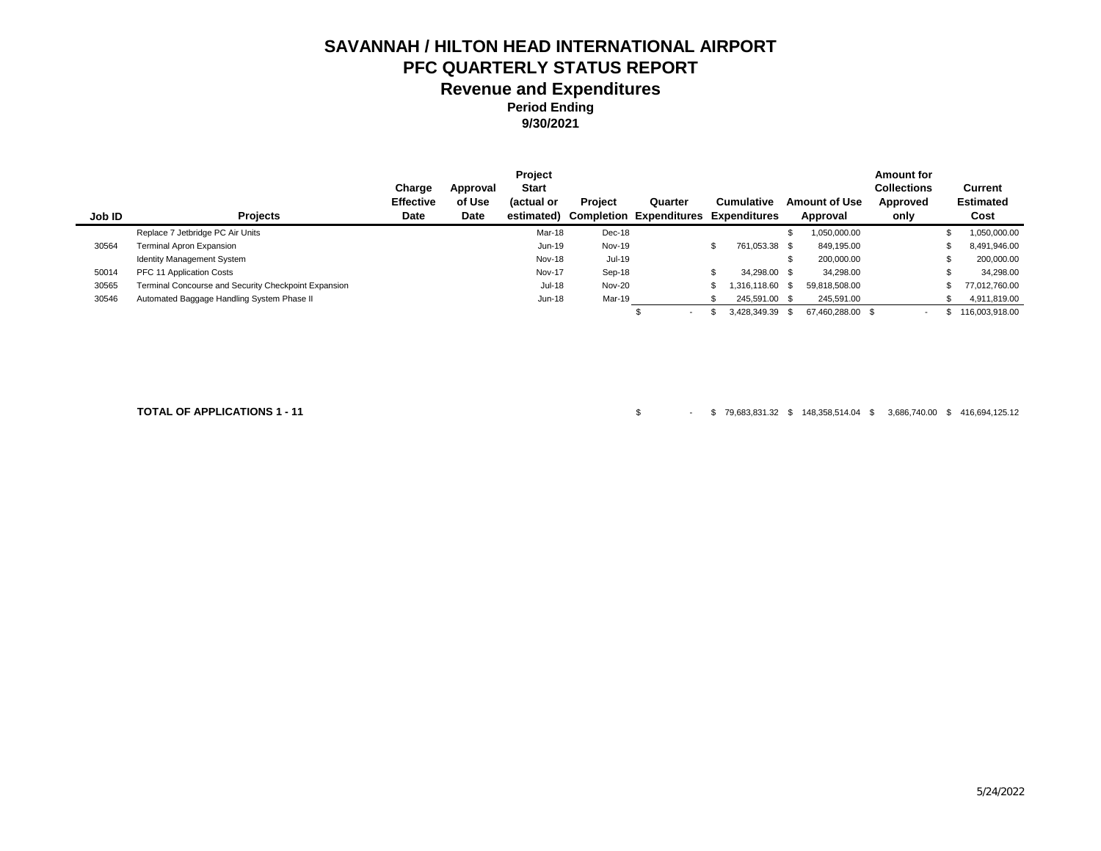**Period Ending 9/30/2021**

|        |                                                      |                  |             | Project       |                |                                |      |                   |                      | <b>Amount for</b> |                  |
|--------|------------------------------------------------------|------------------|-------------|---------------|----------------|--------------------------------|------|-------------------|----------------------|-------------------|------------------|
|        |                                                      | Charge           | Approval    | <b>Start</b>  |                |                                |      |                   |                      | Collections       | Current          |
|        |                                                      | <b>Effective</b> | of Use      | (actual or    | <b>Project</b> | Quarter                        |      | <b>Cumulative</b> | <b>Amount of Use</b> | Approved          | <b>Estimated</b> |
| Job ID | <b>Projects</b>                                      | Date             | <b>Date</b> | estimated)    |                | <b>Completion Expenditures</b> |      | Expenditures      | Approval             | only              | Cost             |
|        | Replace 7 Jetbridge PC Air Units                     |                  |             | Mar-18        | Dec-18         |                                |      |                   | ,050,000.00          |                   | 1,050,000.00     |
| 30564  | Terminal Apron Expansion                             |                  |             | Jun-19        | Nov-19         |                                | - 35 | 761,053.38 \$     | 849.195.00           |                   | 8,491,946.00     |
|        | <b>Identity Management System</b>                    |                  |             | Nov-18        | Jul-19         |                                |      |                   | 200.000.00           |                   | 200,000.00       |
| 50014  | PFC 11 Application Costs                             |                  |             | <b>Nov-17</b> | Sep-18         |                                |      | 34.298.00 \$      | 34.298.00            |                   | 34.298.00        |
| 30565  | Terminal Concourse and Security Checkpoint Expansion |                  |             | <b>Jul-18</b> | Nov-20         |                                |      | 316,118.60 \$     | 59,818,508.00        |                   | 77,012,760.00    |
| 30546  | Automated Baggage Handling System Phase II           |                  |             | Jun-18        | Mar-19         |                                |      | 245,591.00 \$     | 245,591.00           |                   | 4,911,819.00     |
|        |                                                      |                  |             |               |                | $\overline{\phantom{0}}$       |      | 3.428.349.39      | 67.460.288.00 \$     | $\sim$            | 116.003.918.00   |

**TOTAL OF APPLICATIONS 1 - 11** \$ - \$ 79,683,831.32 \$ 148,358,514.04 \$ 3,686,740.00 \$ 416,694,125.12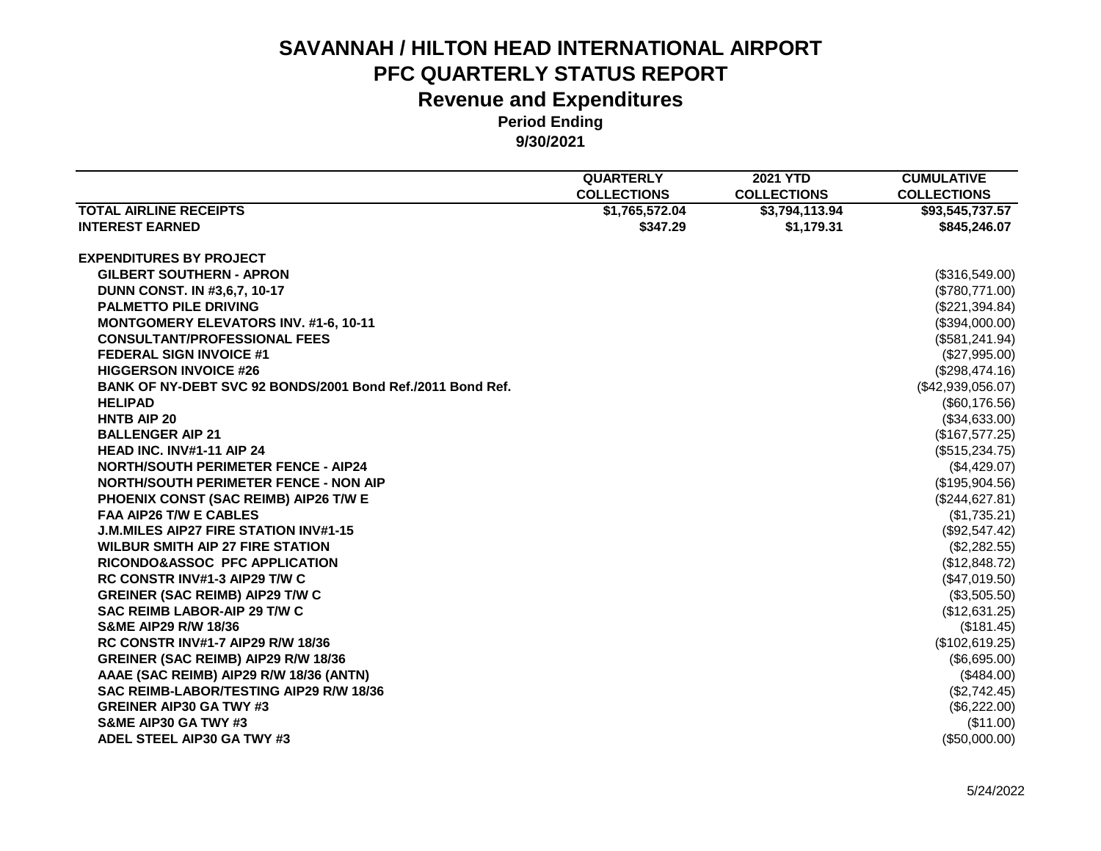|                                                            | <b>QUARTERLY</b>   | <b>2021 YTD</b>    | <b>CUMULATIVE</b>  |
|------------------------------------------------------------|--------------------|--------------------|--------------------|
|                                                            | <b>COLLECTIONS</b> | <b>COLLECTIONS</b> | <b>COLLECTIONS</b> |
| <b>TOTAL AIRLINE RECEIPTS</b>                              | \$1,765,572.04     | \$3,794,113.94     | \$93,545,737.57    |
| <b>INTEREST EARNED</b>                                     | \$347.29           | \$1,179.31         | \$845,246.07       |
| <b>EXPENDITURES BY PROJECT</b>                             |                    |                    |                    |
| <b>GILBERT SOUTHERN - APRON</b>                            |                    |                    | (\$316,549.00)     |
| <b>DUNN CONST. IN #3.6.7, 10-17</b>                        |                    |                    | (\$780,771.00)     |
| <b>PALMETTO PILE DRIVING</b>                               |                    |                    | (\$221,394.84)     |
| <b>MONTGOMERY ELEVATORS INV. #1-6, 10-11</b>               |                    |                    | (\$394,000.00)     |
| <b>CONSULTANT/PROFESSIONAL FEES</b>                        |                    |                    | (\$581, 241.94)    |
| <b>FEDERAL SIGN INVOICE #1</b>                             |                    |                    | (\$27,995.00)      |
| <b>HIGGERSON INVOICE #26</b>                               |                    |                    | (\$298,474.16)     |
| BANK OF NY-DEBT SVC 92 BONDS/2001 Bond Ref./2011 Bond Ref. |                    |                    | (\$42,939,056.07)  |
| <b>HELIPAD</b>                                             |                    |                    | (\$60,176.56)      |
| <b>HNTB AIP 20</b>                                         |                    |                    | (\$34,633.00)      |
| <b>BALLENGER AIP 21</b>                                    |                    |                    | (\$167,577.25)     |
| HEAD INC. INV#1-11 AIP 24                                  |                    |                    | (\$515,234.75)     |
| <b>NORTH/SOUTH PERIMETER FENCE - AIP24</b>                 |                    |                    | (\$4,429.07)       |
| <b>NORTH/SOUTH PERIMETER FENCE - NON AIP</b>               |                    |                    | (\$195,904.56)     |
| PHOENIX CONST (SAC REIMB) AIP26 T/W E                      |                    |                    | (\$244,627.81)     |
| FAA AIP26 T/W E CABLES                                     |                    |                    | (\$1,735.21)       |
| <b>J.M.MILES AIP27 FIRE STATION INV#1-15</b>               |                    |                    | (\$92,547.42)      |
| <b>WILBUR SMITH AIP 27 FIRE STATION</b>                    |                    |                    | (\$2,282.55)       |
| RICONDO&ASSOC PFC APPLICATION                              |                    |                    | (\$12,848.72)      |
| <b>RC CONSTR INV#1-3 AIP29 T/W C</b>                       |                    |                    | (\$47,019.50)      |
| <b>GREINER (SAC REIMB) AIP29 T/W C</b>                     |                    |                    | (\$3,505.50)       |
| SAC REIMB LABOR-AIP 29 T/W C                               |                    |                    | (\$12,631.25)      |
| <b>S&amp;ME AIP29 R/W 18/36</b>                            |                    |                    | (\$181.45)         |
| <b>RC CONSTR INV#1-7 AIP29 R/W 18/36</b>                   |                    |                    | (\$102,619.25)     |
| GREINER (SAC REIMB) AIP29 R/W 18/36                        |                    |                    | (\$6,695.00)       |
| AAAE (SAC REIMB) AIP29 R/W 18/36 (ANTN)                    |                    |                    | (\$484.00)         |
| SAC REIMB-LABOR/TESTING AIP29 R/W 18/36                    |                    |                    | (\$2,742.45)       |
| <b>GREINER AIP30 GA TWY #3</b>                             |                    |                    | (\$6,222.00)       |
| S&ME AIP30 GA TWY #3                                       |                    |                    | (\$11.00)          |
| ADEL STEEL AIP30 GA TWY #3                                 |                    |                    | (\$50,000.00)      |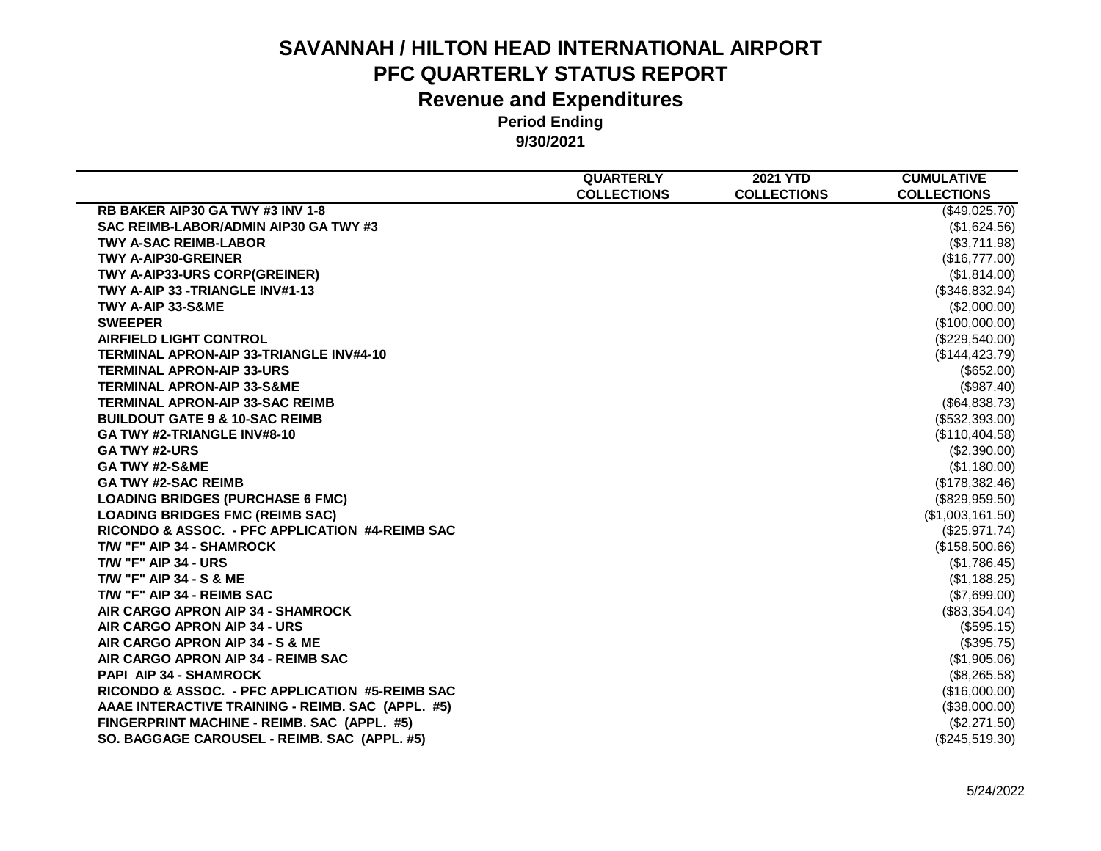|                                                   | <b>QUARTERLY</b>   | <b>2021 YTD</b>    | <b>CUMULATIVE</b>  |
|---------------------------------------------------|--------------------|--------------------|--------------------|
|                                                   | <b>COLLECTIONS</b> | <b>COLLECTIONS</b> | <b>COLLECTIONS</b> |
| RB BAKER AIP30 GA TWY #3 INV 1-8                  |                    |                    | (\$49,025.70)      |
| SAC REIMB-LABOR/ADMIN AIP30 GA TWY #3             |                    |                    | (\$1,624.56)       |
| <b>TWY A-SAC REIMB-LABOR</b>                      |                    |                    | (\$3,711.98)       |
| <b>TWY A-AIP30-GREINER</b>                        |                    |                    | (\$16,777.00)      |
| TWY A-AIP33-URS CORP(GREINER)                     |                    |                    | (\$1,814.00)       |
| TWY A-AIP 33 -TRIANGLE INV#1-13                   |                    |                    | (\$346,832.94)     |
| TWY A-AIP 33-S&ME                                 |                    |                    | (\$2,000.00)       |
| <b>SWEEPER</b>                                    |                    |                    | (\$100,000.00)     |
| <b>AIRFIELD LIGHT CONTROL</b>                     |                    |                    | (\$229,540.00)     |
| <b>TERMINAL APRON-AIP 33-TRIANGLE INV#4-10</b>    |                    |                    | (\$144, 423.79)    |
| <b>TERMINAL APRON-AIP 33-URS</b>                  |                    |                    | (\$652.00)         |
| <b>TERMINAL APRON-AIP 33-S&amp;ME</b>             |                    |                    | (\$987.40)         |
| <b>TERMINAL APRON-AIP 33-SAC REIMB</b>            |                    |                    | (\$64,838.73)      |
| <b>BUILDOUT GATE 9 &amp; 10-SAC REIMB</b>         |                    |                    | (S532, 393.00)     |
| GA TWY #2-TRIANGLE INV#8-10                       |                    |                    | (\$110,404.58)     |
| <b>GA TWY #2-URS</b>                              |                    |                    | (\$2,390.00)       |
| GA TWY #2-S&ME                                    |                    |                    | (\$1,180.00)       |
| <b>GA TWY #2-SAC REIMB</b>                        |                    |                    | (\$178,382.46)     |
| <b>LOADING BRIDGES (PURCHASE 6 FMC)</b>           |                    |                    | (\$829,959.50)     |
| <b>LOADING BRIDGES FMC (REIMB SAC)</b>            |                    |                    | (\$1,003,161.50)   |
| RICONDO & ASSOC. - PFC APPLICATION #4-REIMB SAC   |                    |                    | (\$25,971.74)      |
| T/W "F" AIP 34 - SHAMROCK                         |                    |                    | (\$158,500.66)     |
| <b>T/W "F" AIP 34 - URS</b>                       |                    |                    | (\$1,786.45)       |
| <b>T/W "F" AIP 34 - S &amp; ME</b>                |                    |                    | (\$1,188.25)       |
| T/W "F" AIP 34 - REIMB SAC                        |                    |                    | (\$7,699.00)       |
| AIR CARGO APRON AIP 34 - SHAMROCK                 |                    |                    | (\$83,354.04)      |
| AIR CARGO APRON AIP 34 - URS                      |                    |                    | (\$595.15)         |
| AIR CARGO APRON AIP 34 - S & ME                   |                    |                    | (\$395.75)         |
| AIR CARGO APRON AIP 34 - REIMB SAC                |                    |                    | (\$1,905.06)       |
| <b>PAPI AIP 34 - SHAMROCK</b>                     |                    |                    | (\$8,265.58)       |
| RICONDO & ASSOC. - PFC APPLICATION #5-REIMB SAC   |                    |                    | (\$16,000.00)      |
| AAAE INTERACTIVE TRAINING - REIMB. SAC (APPL. #5) |                    |                    | (\$38,000.00)      |
| FINGERPRINT MACHINE - REIMB. SAC (APPL. #5)       |                    |                    | (\$2,271.50)       |
| SO. BAGGAGE CAROUSEL - REIMB. SAC (APPL. #5)      |                    |                    | (\$245,519.30)     |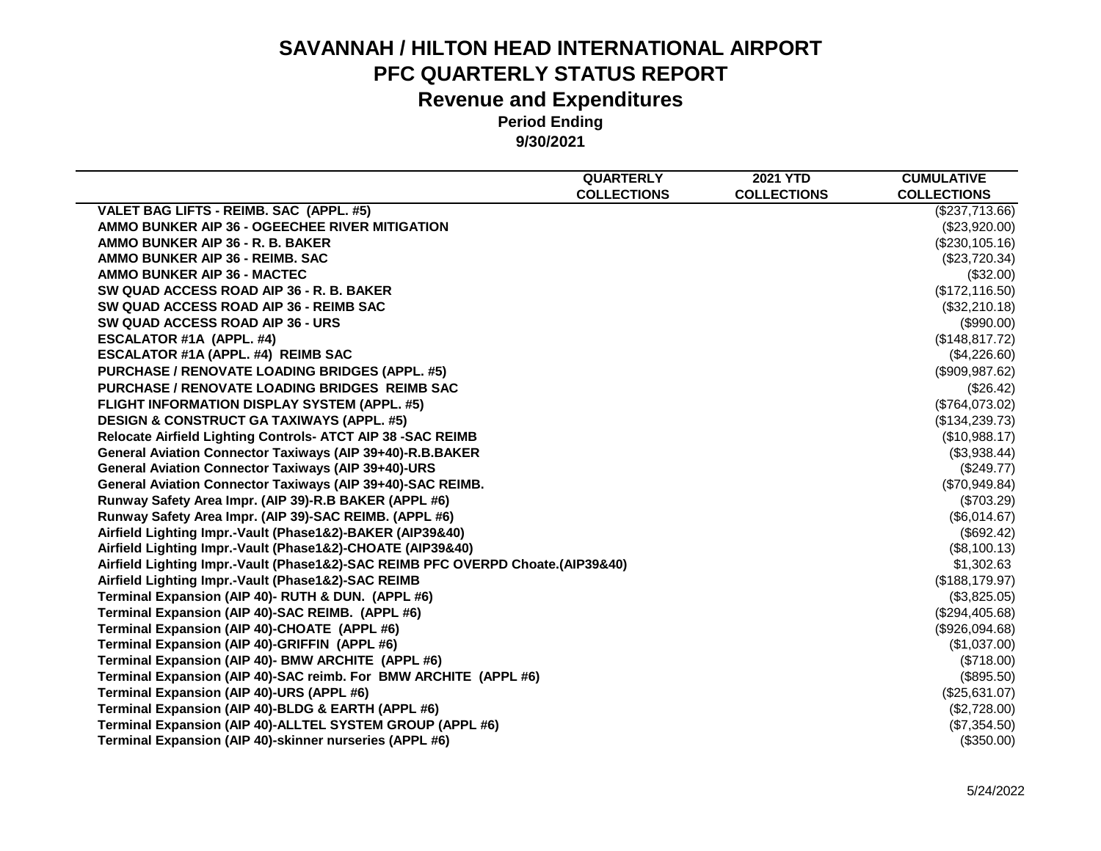|                                                                                 | <b>QUARTERLY</b>   | <b>2021 YTD</b>    | <b>CUMULATIVE</b>  |
|---------------------------------------------------------------------------------|--------------------|--------------------|--------------------|
|                                                                                 | <b>COLLECTIONS</b> | <b>COLLECTIONS</b> | <b>COLLECTIONS</b> |
| VALET BAG LIFTS - REIMB. SAC (APPL. #5)                                         |                    |                    | (\$237,713.66)     |
| AMMO BUNKER AIP 36 - OGEECHEE RIVER MITIGATION                                  |                    |                    | (\$23,920.00)      |
| AMMO BUNKER AIP 36 - R. B. BAKER                                                |                    |                    | (\$230, 105.16)    |
| AMMO BUNKER AIP 36 - REIMB, SAC                                                 |                    |                    | (\$23,720.34)      |
| AMMO BUNKER AIP 36 - MACTEC                                                     |                    |                    | (\$32.00)          |
| SW QUAD ACCESS ROAD AIP 36 - R. B. BAKER                                        |                    |                    | (\$172, 116.50)    |
| SW QUAD ACCESS ROAD AIP 36 - REIMB SAC                                          |                    |                    | (\$32,210.18)      |
| SW QUAD ACCESS ROAD AIP 36 - URS                                                |                    |                    | (\$990.00)         |
| ESCALATOR #1A (APPL. #4)                                                        |                    |                    | (\$148, 817.72)    |
| ESCALATOR #1A (APPL. #4) REIMB SAC                                              |                    |                    | (\$4,226.60)       |
| <b>PURCHASE / RENOVATE LOADING BRIDGES (APPL. #5)</b>                           |                    |                    | (\$909, 987.62)    |
| <b>PURCHASE / RENOVATE LOADING BRIDGES REIMB SAC</b>                            |                    |                    | (\$26.42)          |
| FLIGHT INFORMATION DISPLAY SYSTEM (APPL. #5)                                    |                    |                    | (\$764,073.02)     |
| <b>DESIGN &amp; CONSTRUCT GA TAXIWAYS (APPL. #5)</b>                            |                    |                    | (\$134,239.73)     |
| Relocate Airfield Lighting Controls- ATCT AIP 38 -SAC REIMB                     |                    |                    | (\$10,988.17)      |
| General Aviation Connector Taxiways (AIP 39+40)-R.B.BAKER                       |                    |                    | (\$3,938.44)       |
| <b>General Aviation Connector Taxiways (AIP 39+40)-URS</b>                      |                    |                    | (\$249.77)         |
| General Aviation Connector Taxiways (AIP 39+40)-SAC REIMB.                      |                    |                    | (\$70,949.84)      |
| Runway Safety Area Impr. (AIP 39)-R.B BAKER (APPL #6)                           |                    |                    | (\$703.29)         |
| Runway Safety Area Impr. (AIP 39)-SAC REIMB. (APPL #6)                          |                    |                    | (\$6,014.67)       |
| Airfield Lighting Impr.-Vault (Phase1&2)-BAKER (AIP39&40)                       |                    |                    | (\$692.42)         |
| Airfield Lighting Impr.-Vault (Phase1&2)-CHOATE (AIP39&40)                      |                    |                    | (\$8,100.13)       |
| Airfield Lighting Impr.-Vault (Phase1&2)-SAC REIMB PFC OVERPD Choate.(AIP39&40) |                    |                    | \$1,302.63         |
| Airfield Lighting Impr.-Vault (Phase1&2)-SAC REIMB                              |                    |                    | (\$188, 179.97)    |
| Terminal Expansion (AIP 40)- RUTH & DUN. (APPL #6)                              |                    |                    | (\$3,825.05)       |
| Terminal Expansion (AIP 40)-SAC REIMB. (APPL #6)                                |                    |                    | (\$294,405.68)     |
| Terminal Expansion (AIP 40)-CHOATE (APPL #6)                                    |                    |                    | (\$926,094.68)     |
| Terminal Expansion (AIP 40)-GRIFFIN (APPL #6)                                   |                    |                    | (\$1,037.00)       |
| Terminal Expansion (AIP 40)- BMW ARCHITE (APPL #6)                              |                    |                    | (S718.00)          |
| Terminal Expansion (AIP 40)-SAC reimb. For BMW ARCHITE (APPL #6)                |                    |                    | (\$895.50)         |
| Terminal Expansion (AIP 40)-URS (APPL #6)                                       |                    |                    | (\$25,631.07)      |
| Terminal Expansion (AIP 40)-BLDG & EARTH (APPL #6)                              |                    |                    | (\$2,728.00)       |
| Terminal Expansion (AIP 40)-ALLTEL SYSTEM GROUP (APPL #6)                       |                    |                    | (\$7,354.50)       |
| Terminal Expansion (AIP 40)-skinner nurseries (APPL #6)                         |                    |                    | (\$350.00)         |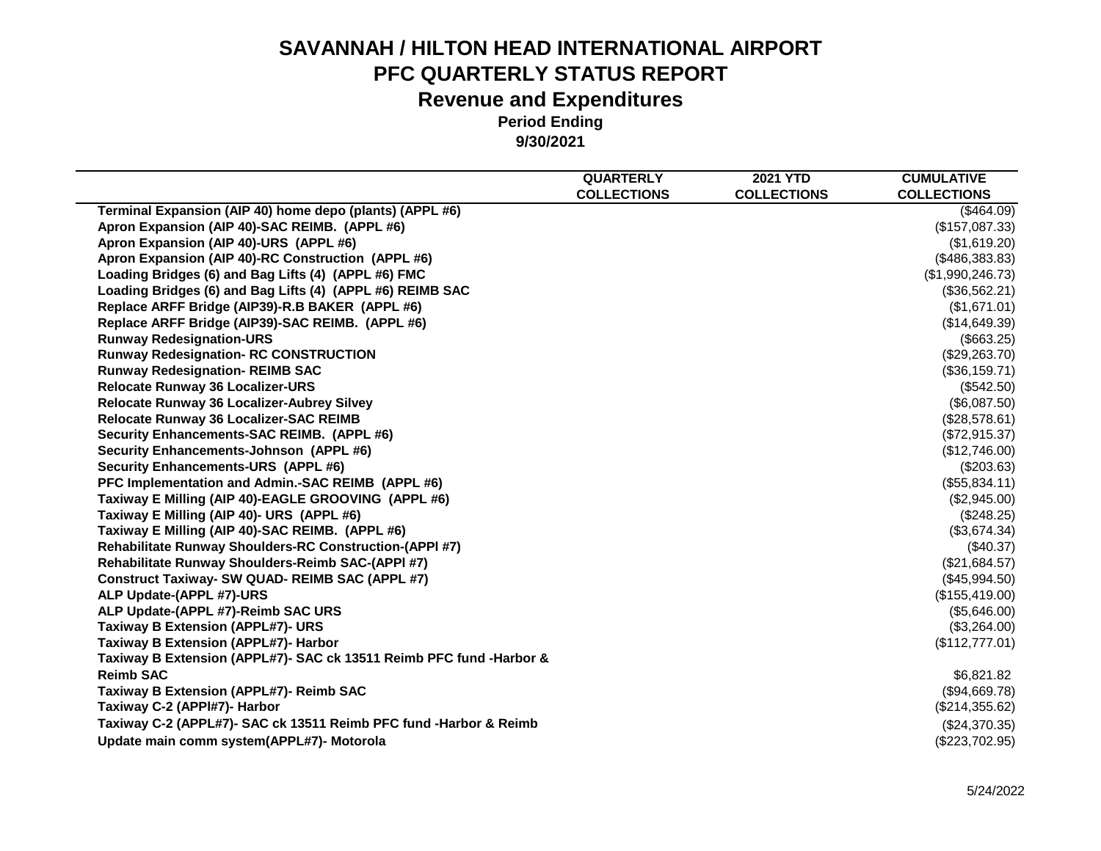|                                                                     | <b>QUARTERLY</b>   | <b>2021 YTD</b>    | <b>CUMULATIVE</b>  |
|---------------------------------------------------------------------|--------------------|--------------------|--------------------|
| Terminal Expansion (AIP 40) home depo (plants) (APPL #6)            | <b>COLLECTIONS</b> | <b>COLLECTIONS</b> | <b>COLLECTIONS</b> |
|                                                                     |                    |                    | (\$464.09)         |
| Apron Expansion (AIP 40)-SAC REIMB. (APPL #6)                       |                    |                    | (\$157,087.33)     |
| Apron Expansion (AIP 40)-URS (APPL #6)                              |                    |                    | (\$1,619.20)       |
| Apron Expansion (AIP 40)-RC Construction (APPL #6)                  |                    |                    | (\$486,383.83)     |
| Loading Bridges (6) and Bag Lifts (4) (APPL #6) FMC                 |                    |                    | (\$1,990,246.73)   |
| Loading Bridges (6) and Bag Lifts (4) (APPL #6) REIMB SAC           |                    |                    | (\$36,562.21)      |
| Replace ARFF Bridge (AIP39)-R.B BAKER (APPL #6)                     |                    |                    | (\$1,671.01)       |
| Replace ARFF Bridge (AIP39)-SAC REIMB. (APPL #6)                    |                    |                    | (\$14,649.39)      |
| <b>Runway Redesignation-URS</b>                                     |                    |                    | (\$663.25)         |
| <b>Runway Redesignation- RC CONSTRUCTION</b>                        |                    |                    | (\$29,263.70)      |
| <b>Runway Redesignation- REIMB SAC</b>                              |                    |                    | (\$36,159.71)      |
| <b>Relocate Runway 36 Localizer-URS</b>                             |                    |                    | $(\$542.50)$       |
| Relocate Runway 36 Localizer-Aubrey Silvey                          |                    |                    | (\$6,087.50)       |
| Relocate Runway 36 Localizer-SAC REIMB                              |                    |                    | (\$28,578.61)      |
| Security Enhancements-SAC REIMB. (APPL #6)                          |                    |                    | (\$72,915.37)      |
| Security Enhancements-Johnson (APPL #6)                             |                    |                    | (\$12,746.00)      |
| Security Enhancements-URS (APPL #6)                                 |                    |                    | (\$203.63)         |
| PFC Implementation and Admin.-SAC REIMB (APPL #6)                   |                    |                    | (\$55,834.11)      |
| Taxiway E Milling (AIP 40)-EAGLE GROOVING (APPL #6)                 |                    |                    | (\$2,945.00)       |
| Taxiway E Milling (AIP 40)- URS (APPL #6)                           |                    |                    | (\$248.25)         |
| Taxiway E Milling (AIP 40)-SAC REIMB. (APPL #6)                     |                    |                    | (\$3,674.34)       |
| <b>Rehabilitate Runway Shoulders-RC Construction-(APPI #7)</b>      |                    |                    | $(\$40.37)$        |
| Rehabilitate Runway Shoulders-Reimb SAC-(APPI #7)                   |                    |                    | (\$21,684.57)      |
| <b>Construct Taxiway- SW QUAD- REIMB SAC (APPL #7)</b>              |                    |                    | (\$45,994.50)      |
| ALP Update-(APPL #7)-URS                                            |                    |                    | (\$155,419.00)     |
| ALP Update-(APPL #7)-Reimb SAC URS                                  |                    |                    | (\$5,646.00)       |
| <b>Taxiway B Extension (APPL#7)- URS</b>                            |                    |                    | (\$3,264.00)       |
| Taxiway B Extension (APPL#7)- Harbor                                |                    |                    | (\$112,777.01)     |
| Taxiway B Extension (APPL#7)- SAC ck 13511 Reimb PFC fund -Harbor & |                    |                    |                    |
| <b>Reimb SAC</b>                                                    |                    |                    | \$6,821.82         |
| Taxiway B Extension (APPL#7)- Reimb SAC                             |                    |                    | (\$94,669.78)      |
| Taxiway C-2 (APPI#7)- Harbor                                        |                    |                    | (\$214,355.62)     |
| Taxiway C-2 (APPL#7)- SAC ck 13511 Reimb PFC fund -Harbor & Reimb   |                    |                    | (\$24,370.35)      |
| Update main comm system(APPL#7)- Motorola                           |                    |                    | (\$223,702.95)     |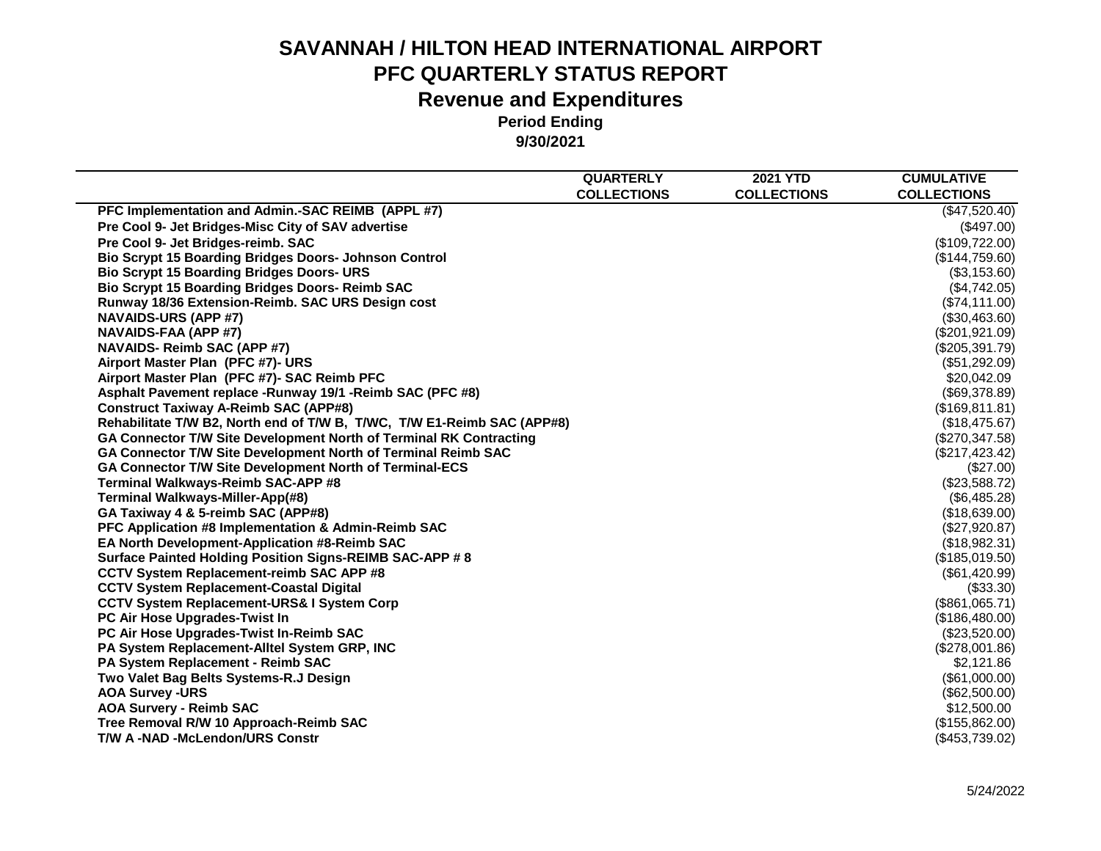|                                                                         | <b>QUARTERLY</b>   | <b>2021 YTD</b>    | <b>CUMULATIVE</b>  |
|-------------------------------------------------------------------------|--------------------|--------------------|--------------------|
|                                                                         | <b>COLLECTIONS</b> | <b>COLLECTIONS</b> | <b>COLLECTIONS</b> |
| PFC Implementation and Admin.-SAC REIMB (APPL #7)                       |                    |                    | (\$47,520.40)      |
| Pre Cool 9- Jet Bridges-Misc City of SAV advertise                      |                    |                    | $(\$497.00)$       |
| Pre Cool 9- Jet Bridges-reimb. SAC                                      |                    |                    | (\$109,722.00)     |
| <b>Bio Scrypt 15 Boarding Bridges Doors- Johnson Control</b>            |                    |                    | (\$144,759.60)     |
| <b>Bio Scrypt 15 Boarding Bridges Doors- URS</b>                        |                    |                    | (\$3,153.60)       |
| <b>Bio Scrypt 15 Boarding Bridges Doors- Reimb SAC</b>                  |                    |                    | (\$4,742.05)       |
| Runway 18/36 Extension-Reimb. SAC URS Design cost                       |                    |                    | (\$74,111.00)      |
| <b>NAVAIDS-URS (APP #7)</b>                                             |                    |                    | (\$30,463.60)      |
| NAVAIDS-FAA (APP #7)                                                    |                    |                    | (\$201,921.09)     |
| <b>NAVAIDS- Reimb SAC (APP #7)</b>                                      |                    |                    | (\$205,391.79)     |
| Airport Master Plan (PFC #7)- URS                                       |                    |                    | (\$51,292.09)      |
| Airport Master Plan (PFC #7)- SAC Reimb PFC                             |                    |                    | \$20,042.09        |
| Asphalt Pavement replace -Runway 19/1 -Reimb SAC (PFC #8)               |                    |                    | (\$69,378.89)      |
| <b>Construct Taxiway A-Reimb SAC (APP#8)</b>                            |                    |                    | (\$169, 811.81)    |
| Rehabilitate T/W B2, North end of T/W B, T/WC, T/W E1-Reimb SAC (APP#8) |                    |                    | (\$18,475.67)      |
| GA Connector T/W Site Development North of Terminal RK Contracting      |                    |                    | (\$270,347.58)     |
| GA Connector T/W Site Development North of Terminal Reimb SAC           |                    |                    | (\$217,423.42)     |
| GA Connector T/W Site Development North of Terminal-ECS                 |                    |                    | (\$27.00)          |
| Terminal Walkways-Reimb SAC-APP #8                                      |                    |                    | (\$23,588.72)      |
| Terminal Walkways-Miller-App(#8)                                        |                    |                    | (\$6,485.28)       |
| GA Taxiway 4 & 5-reimb SAC (APP#8)                                      |                    |                    | (\$18,639.00)      |
| <b>PFC Application #8 Implementation &amp; Admin-Reimb SAC</b>          |                    |                    | (\$27,920.87)      |
| <b>EA North Development-Application #8-Reimb SAC</b>                    |                    |                    | (\$18,982.31)      |
| Surface Painted Holding Position Signs-REIMB SAC-APP # 8                |                    |                    | (\$185,019.50)     |
| <b>CCTV System Replacement-reimb SAC APP #8</b>                         |                    |                    | (\$61,420.99)      |
| <b>CCTV System Replacement-Coastal Digital</b>                          |                    |                    | (\$33.30)          |
| <b>CCTV System Replacement-URS&amp; I System Corp</b>                   |                    |                    | (\$861,065.71)     |
| PC Air Hose Upgrades-Twist In                                           |                    |                    | (\$186,480.00)     |
| PC Air Hose Upgrades-Twist In-Reimb SAC                                 |                    |                    | (\$23,520.00)      |
| PA System Replacement-Alltel System GRP, INC                            |                    |                    | (\$278,001.86)     |
| <b>PA System Replacement - Reimb SAC</b>                                |                    |                    | \$2,121.86         |
| Two Valet Bag Belts Systems-R.J Design                                  |                    |                    | (\$61,000.00)      |
| <b>AOA Survey -URS</b>                                                  |                    |                    | (\$62,500.00)      |
| <b>AOA Survery - Reimb SAC</b>                                          |                    |                    | \$12,500.00        |
| Tree Removal R/W 10 Approach-Reimb SAC                                  |                    |                    | (\$155,862.00)     |
| <b>T/W A-NAD-McLendon/URS Constr</b>                                    |                    |                    | (\$453,739.02)     |